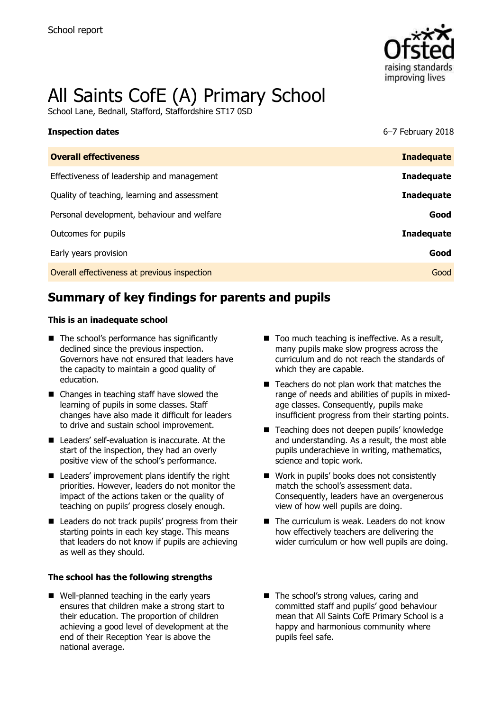

# All Saints CofE (A) Primary School

School Lane, Bednall, Stafford, Staffordshire ST17 0SD

| <b>Inspection dates</b>                      | 6-7 February 2018 |
|----------------------------------------------|-------------------|
| <b>Overall effectiveness</b>                 | <b>Inadequate</b> |
| Effectiveness of leadership and management   | <b>Inadequate</b> |
| Quality of teaching, learning and assessment | <b>Inadequate</b> |
| Personal development, behaviour and welfare  | Good              |
| Outcomes for pupils                          | <b>Inadequate</b> |
| Early years provision                        | Good              |
| Overall effectiveness at previous inspection | Good              |

# **Summary of key findings for parents and pupils**

### **This is an inadequate school**

- The school's performance has significantly declined since the previous inspection. Governors have not ensured that leaders have the capacity to maintain a good quality of education.
- Changes in teaching staff have slowed the learning of pupils in some classes. Staff changes have also made it difficult for leaders to drive and sustain school improvement.
- Leaders' self-evaluation is inaccurate. At the start of the inspection, they had an overly positive view of the school's performance.
- $\blacksquare$  Leaders' improvement plans identify the right priorities. However, leaders do not monitor the impact of the actions taken or the quality of teaching on pupils' progress closely enough.
- Leaders do not track pupils' progress from their starting points in each key stage. This means that leaders do not know if pupils are achieving as well as they should.

### **The school has the following strengths**

Well-planned teaching in the early years ensures that children make a strong start to their education. The proportion of children achieving a good level of development at the end of their Reception Year is above the national average.

- Too much teaching is ineffective. As a result, many pupils make slow progress across the curriculum and do not reach the standards of which they are capable.
- $\blacksquare$  Teachers do not plan work that matches the range of needs and abilities of pupils in mixedage classes. Consequently, pupils make insufficient progress from their starting points.
- Teaching does not deepen pupils' knowledge and understanding. As a result, the most able pupils underachieve in writing, mathematics, science and topic work.
- Work in pupils' books does not consistently match the school's assessment data. Consequently, leaders have an overgenerous view of how well pupils are doing.
- The curriculum is weak. Leaders do not know how effectively teachers are delivering the wider curriculum or how well pupils are doing.
- The school's strong values, caring and committed staff and pupils' good behaviour mean that All Saints CofE Primary School is a happy and harmonious community where pupils feel safe.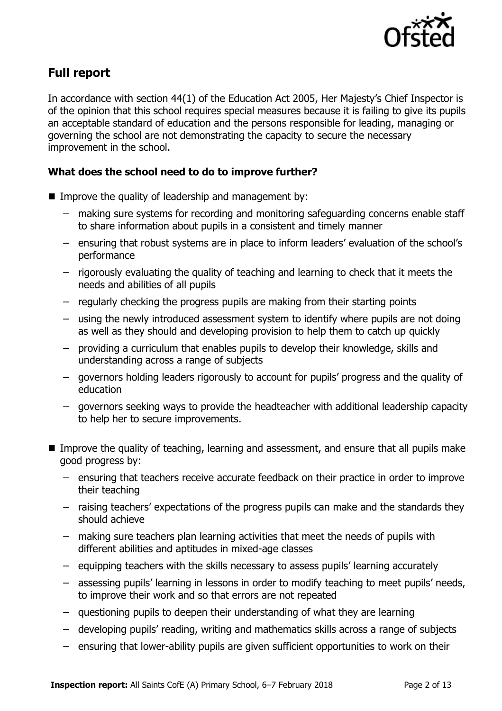

# **Full report**

In accordance with section 44(1) of the Education Act 2005, Her Majesty's Chief Inspector is of the opinion that this school requires special measures because it is failing to give its pupils an acceptable standard of education and the persons responsible for leading, managing or governing the school are not demonstrating the capacity to secure the necessary improvement in the school.

### **What does the school need to do to improve further?**

- Improve the quality of leadership and management by:
	- making sure systems for recording and monitoring safeguarding concerns enable staff to share information about pupils in a consistent and timely manner
	- ensuring that robust systems are in place to inform leaders' evaluation of the school's performance
	- rigorously evaluating the quality of teaching and learning to check that it meets the needs and abilities of all pupils
	- regularly checking the progress pupils are making from their starting points
	- using the newly introduced assessment system to identify where pupils are not doing as well as they should and developing provision to help them to catch up quickly
	- providing a curriculum that enables pupils to develop their knowledge, skills and understanding across a range of subjects
	- governors holding leaders rigorously to account for pupils' progress and the quality of education
	- governors seeking ways to provide the headteacher with additional leadership capacity to help her to secure improvements.
- **IMPROVE the quality of teaching, learning and assessment, and ensure that all pupils make** good progress by:
	- ensuring that teachers receive accurate feedback on their practice in order to improve their teaching
	- raising teachers' expectations of the progress pupils can make and the standards they should achieve
	- making sure teachers plan learning activities that meet the needs of pupils with different abilities and aptitudes in mixed-age classes
	- equipping teachers with the skills necessary to assess pupils' learning accurately
	- assessing pupils' learning in lessons in order to modify teaching to meet pupils' needs, to improve their work and so that errors are not repeated
	- questioning pupils to deepen their understanding of what they are learning
	- developing pupils' reading, writing and mathematics skills across a range of subjects
	- ensuring that lower-ability pupils are given sufficient opportunities to work on their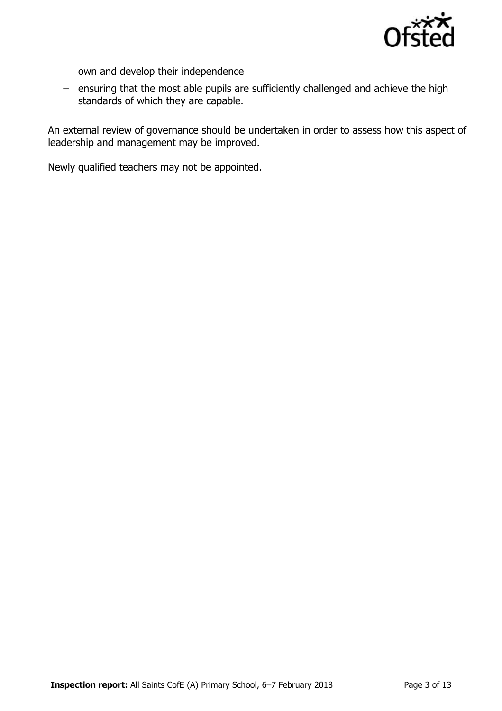

own and develop their independence

– ensuring that the most able pupils are sufficiently challenged and achieve the high standards of which they are capable.

An external review of governance should be undertaken in order to assess how this aspect of leadership and management may be improved.

Newly qualified teachers may not be appointed.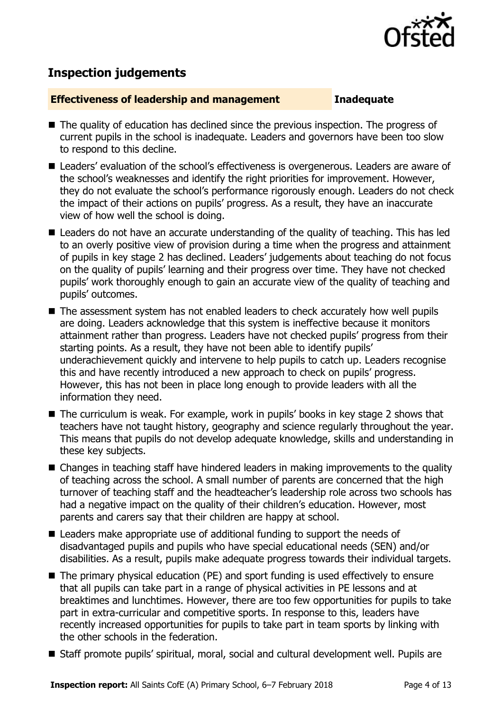

# **Inspection judgements**

### **Effectiveness of leadership and management Inadequate**

- The quality of education has declined since the previous inspection. The progress of current pupils in the school is inadequate. Leaders and governors have been too slow to respond to this decline.
- Leaders' evaluation of the school's effectiveness is overgenerous. Leaders are aware of the school's weaknesses and identify the right priorities for improvement. However, they do not evaluate the school's performance rigorously enough. Leaders do not check the impact of their actions on pupils' progress. As a result, they have an inaccurate view of how well the school is doing.
- Leaders do not have an accurate understanding of the quality of teaching. This has led to an overly positive view of provision during a time when the progress and attainment of pupils in key stage 2 has declined. Leaders' judgements about teaching do not focus on the quality of pupils' learning and their progress over time. They have not checked pupils' work thoroughly enough to gain an accurate view of the quality of teaching and pupils' outcomes.
- The assessment system has not enabled leaders to check accurately how well pupils are doing. Leaders acknowledge that this system is ineffective because it monitors attainment rather than progress. Leaders have not checked pupils' progress from their starting points. As a result, they have not been able to identify pupils' underachievement quickly and intervene to help pupils to catch up. Leaders recognise this and have recently introduced a new approach to check on pupils' progress. However, this has not been in place long enough to provide leaders with all the information they need.
- The curriculum is weak. For example, work in pupils' books in key stage 2 shows that teachers have not taught history, geography and science regularly throughout the year. This means that pupils do not develop adequate knowledge, skills and understanding in these key subjects.
- Changes in teaching staff have hindered leaders in making improvements to the quality of teaching across the school. A small number of parents are concerned that the high turnover of teaching staff and the headteacher's leadership role across two schools has had a negative impact on the quality of their children's education. However, most parents and carers say that their children are happy at school.
- Leaders make appropriate use of additional funding to support the needs of disadvantaged pupils and pupils who have special educational needs (SEN) and/or disabilities. As a result, pupils make adequate progress towards their individual targets.
- The primary physical education (PE) and sport funding is used effectively to ensure that all pupils can take part in a range of physical activities in PE lessons and at breaktimes and lunchtimes. However, there are too few opportunities for pupils to take part in extra-curricular and competitive sports. In response to this, leaders have recently increased opportunities for pupils to take part in team sports by linking with the other schools in the federation.
- Staff promote pupils' spiritual, moral, social and cultural development well. Pupils are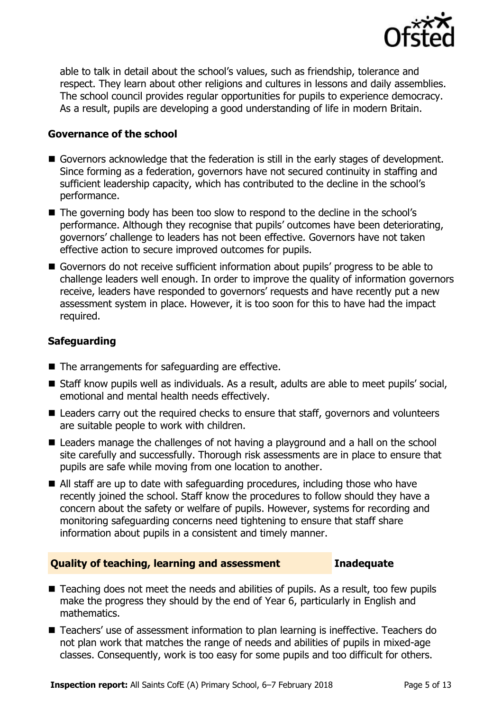

able to talk in detail about the school's values, such as friendship, tolerance and respect. They learn about other religions and cultures in lessons and daily assemblies. The school council provides regular opportunities for pupils to experience democracy. As a result, pupils are developing a good understanding of life in modern Britain.

### **Governance of the school**

- Governors acknowledge that the federation is still in the early stages of development. Since forming as a federation, governors have not secured continuity in staffing and sufficient leadership capacity, which has contributed to the decline in the school's performance.
- The governing body has been too slow to respond to the decline in the school's performance. Although they recognise that pupils' outcomes have been deteriorating, governors' challenge to leaders has not been effective. Governors have not taken effective action to secure improved outcomes for pupils.
- Governors do not receive sufficient information about pupils' progress to be able to challenge leaders well enough. In order to improve the quality of information governors receive, leaders have responded to governors' requests and have recently put a new assessment system in place. However, it is too soon for this to have had the impact required.

### **Safeguarding**

- The arrangements for safeguarding are effective.
- Staff know pupils well as individuals. As a result, adults are able to meet pupils' social, emotional and mental health needs effectively.
- Leaders carry out the required checks to ensure that staff, governors and volunteers are suitable people to work with children.
- Leaders manage the challenges of not having a playground and a hall on the school site carefully and successfully. Thorough risk assessments are in place to ensure that pupils are safe while moving from one location to another.
- All staff are up to date with safeguarding procedures, including those who have recently joined the school. Staff know the procedures to follow should they have a concern about the safety or welfare of pupils. However, systems for recording and monitoring safeguarding concerns need tightening to ensure that staff share information about pupils in a consistent and timely manner.

### **Quality of teaching, learning and assessment Inadequate**

- Teaching does not meet the needs and abilities of pupils. As a result, too few pupils make the progress they should by the end of Year 6, particularly in English and mathematics.
- Teachers' use of assessment information to plan learning is ineffective. Teachers do not plan work that matches the range of needs and abilities of pupils in mixed-age classes. Consequently, work is too easy for some pupils and too difficult for others.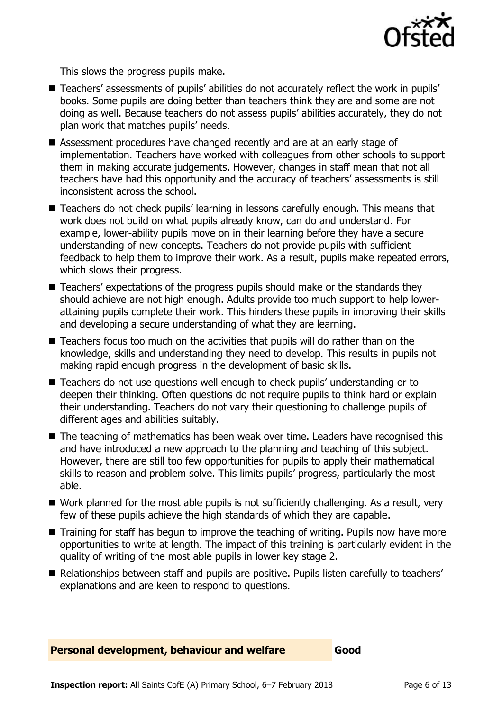

This slows the progress pupils make.

- Teachers' assessments of pupils' abilities do not accurately reflect the work in pupils' books. Some pupils are doing better than teachers think they are and some are not doing as well. Because teachers do not assess pupils' abilities accurately, they do not plan work that matches pupils' needs.
- Assessment procedures have changed recently and are at an early stage of implementation. Teachers have worked with colleagues from other schools to support them in making accurate judgements. However, changes in staff mean that not all teachers have had this opportunity and the accuracy of teachers' assessments is still inconsistent across the school.
- Teachers do not check pupils' learning in lessons carefully enough. This means that work does not build on what pupils already know, can do and understand. For example, lower-ability pupils move on in their learning before they have a secure understanding of new concepts. Teachers do not provide pupils with sufficient feedback to help them to improve their work. As a result, pupils make repeated errors, which slows their progress.
- Teachers' expectations of the progress pupils should make or the standards they should achieve are not high enough. Adults provide too much support to help lowerattaining pupils complete their work. This hinders these pupils in improving their skills and developing a secure understanding of what they are learning.
- Teachers focus too much on the activities that pupils will do rather than on the knowledge, skills and understanding they need to develop. This results in pupils not making rapid enough progress in the development of basic skills.
- Teachers do not use questions well enough to check pupils' understanding or to deepen their thinking. Often questions do not require pupils to think hard or explain their understanding. Teachers do not vary their questioning to challenge pupils of different ages and abilities suitably.
- The teaching of mathematics has been weak over time. Leaders have recognised this and have introduced a new approach to the planning and teaching of this subject. However, there are still too few opportunities for pupils to apply their mathematical skills to reason and problem solve. This limits pupils' progress, particularly the most able.
- Work planned for the most able pupils is not sufficiently challenging. As a result, very few of these pupils achieve the high standards of which they are capable.
- Training for staff has begun to improve the teaching of writing. Pupils now have more opportunities to write at length. The impact of this training is particularly evident in the quality of writing of the most able pupils in lower key stage 2.
- Relationships between staff and pupils are positive. Pupils listen carefully to teachers' explanations and are keen to respond to questions.

**Personal development, behaviour and welfare Good**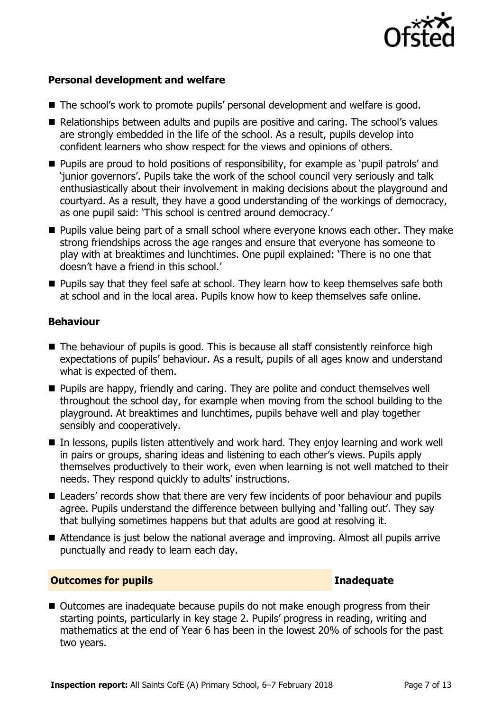

### **Personal development and welfare**

- The school's work to promote pupils' personal development and welfare is good.
- Relationships between adults and pupils are positive and caring. The school's values are strongly embedded in the life of the school. As a result, pupils develop into confident learners who show respect for the views and opinions of others.
- **Pupils are proud to hold positions of responsibility, for example as 'pupil patrols' and** 'junior governors'. Pupils take the work of the school council very seriously and talk enthusiastically about their involvement in making decisions about the playground and courtyard. As a result, they have a good understanding of the workings of democracy, as one pupil said: 'This school is centred around democracy.'
- **Pupils value being part of a small school where everyone knows each other. They make** strong friendships across the age ranges and ensure that everyone has someone to play with at breaktimes and lunchtimes. One pupil explained: 'There is no one that doesn't have a friend in this school.'
- **Pupils say that they feel safe at school. They learn how to keep themselves safe both** at school and in the local area. Pupils know how to keep themselves safe online.

### **Behaviour**

- The behaviour of pupils is good. This is because all staff consistently reinforce high expectations of pupils' behaviour. As a result, pupils of all ages know and understand what is expected of them.
- **Pupils are happy, friendly and caring. They are polite and conduct themselves well** throughout the school day, for example when moving from the school building to the playground. At breaktimes and lunchtimes, pupils behave well and play together sensibly and cooperatively.
- In lessons, pupils listen attentively and work hard. They enjoy learning and work well in pairs or groups, sharing ideas and listening to each other's views. Pupils apply themselves productively to their work, even when learning is not well matched to their needs. They respond quickly to adults' instructions.
- Leaders' records show that there are very few incidents of poor behaviour and pupils agree. Pupils understand the difference between bullying and 'falling out'. They say that bullying sometimes happens but that adults are good at resolving it.
- Attendance is just below the national average and improving. Almost all pupils arrive punctually and ready to learn each day.

### **Outcomes for pupils Inadequate**

■ Outcomes are inadequate because pupils do not make enough progress from their starting points, particularly in key stage 2. Pupils' progress in reading, writing and mathematics at the end of Year 6 has been in the lowest 20% of schools for the past two years.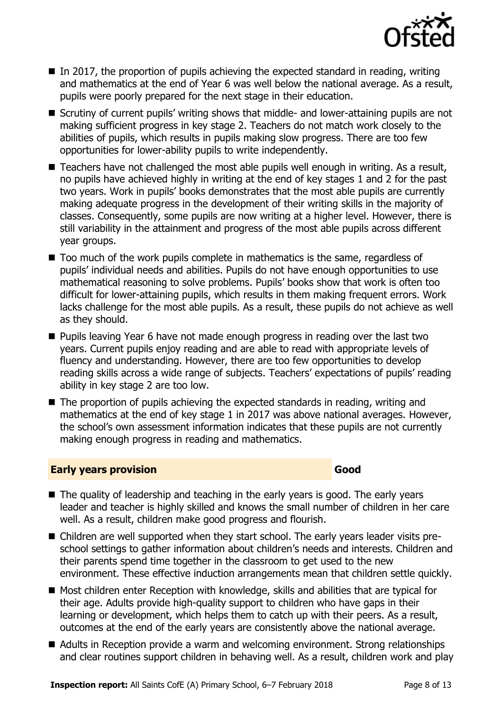

- $\blacksquare$  In 2017, the proportion of pupils achieving the expected standard in reading, writing and mathematics at the end of Year 6 was well below the national average. As a result, pupils were poorly prepared for the next stage in their education.
- Scrutiny of current pupils' writing shows that middle- and lower-attaining pupils are not making sufficient progress in key stage 2. Teachers do not match work closely to the abilities of pupils, which results in pupils making slow progress. There are too few opportunities for lower-ability pupils to write independently.
- Teachers have not challenged the most able pupils well enough in writing. As a result, no pupils have achieved highly in writing at the end of key stages 1 and 2 for the past two years. Work in pupils' books demonstrates that the most able pupils are currently making adequate progress in the development of their writing skills in the majority of classes. Consequently, some pupils are now writing at a higher level. However, there is still variability in the attainment and progress of the most able pupils across different year groups.
- Too much of the work pupils complete in mathematics is the same, regardless of pupils' individual needs and abilities. Pupils do not have enough opportunities to use mathematical reasoning to solve problems. Pupils' books show that work is often too difficult for lower-attaining pupils, which results in them making frequent errors. Work lacks challenge for the most able pupils. As a result, these pupils do not achieve as well as they should.
- **Pupils leaving Year 6 have not made enough progress in reading over the last two** years. Current pupils enjoy reading and are able to read with appropriate levels of fluency and understanding. However, there are too few opportunities to develop reading skills across a wide range of subjects. Teachers' expectations of pupils' reading ability in key stage 2 are too low.
- The proportion of pupils achieving the expected standards in reading, writing and mathematics at the end of key stage 1 in 2017 was above national averages. However, the school's own assessment information indicates that these pupils are not currently making enough progress in reading and mathematics.

### **Early years provision Good Good**

- The quality of leadership and teaching in the early years is good. The early years leader and teacher is highly skilled and knows the small number of children in her care well. As a result, children make good progress and flourish.
- Children are well supported when they start school. The early years leader visits preschool settings to gather information about children's needs and interests. Children and their parents spend time together in the classroom to get used to the new environment. These effective induction arrangements mean that children settle quickly.
- Most children enter Reception with knowledge, skills and abilities that are typical for their age. Adults provide high-quality support to children who have gaps in their learning or development, which helps them to catch up with their peers. As a result, outcomes at the end of the early years are consistently above the national average.
- Adults in Reception provide a warm and welcoming environment. Strong relationships and clear routines support children in behaving well. As a result, children work and play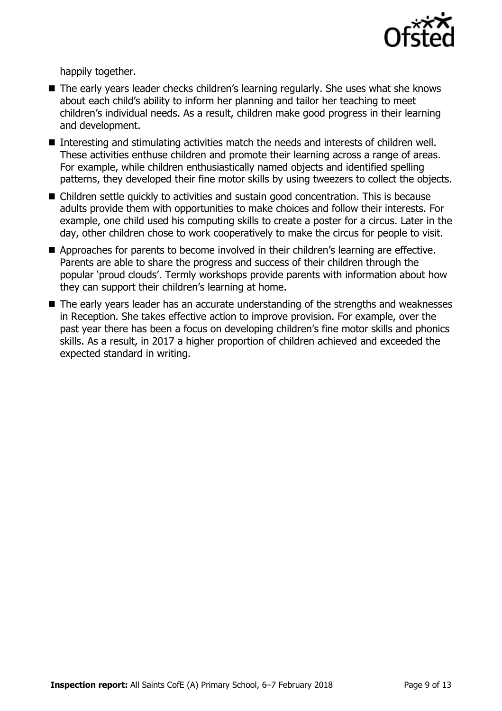

happily together.

- The early years leader checks children's learning regularly. She uses what she knows about each child's ability to inform her planning and tailor her teaching to meet children's individual needs. As a result, children make good progress in their learning and development.
- Interesting and stimulating activities match the needs and interests of children well. These activities enthuse children and promote their learning across a range of areas. For example, while children enthusiastically named objects and identified spelling patterns, they developed their fine motor skills by using tweezers to collect the objects.
- Children settle quickly to activities and sustain good concentration. This is because adults provide them with opportunities to make choices and follow their interests. For example, one child used his computing skills to create a poster for a circus. Later in the day, other children chose to work cooperatively to make the circus for people to visit.
- Approaches for parents to become involved in their children's learning are effective. Parents are able to share the progress and success of their children through the popular 'proud clouds'. Termly workshops provide parents with information about how they can support their children's learning at home.
- The early years leader has an accurate understanding of the strengths and weaknesses in Reception. She takes effective action to improve provision. For example, over the past year there has been a focus on developing children's fine motor skills and phonics skills. As a result, in 2017 a higher proportion of children achieved and exceeded the expected standard in writing.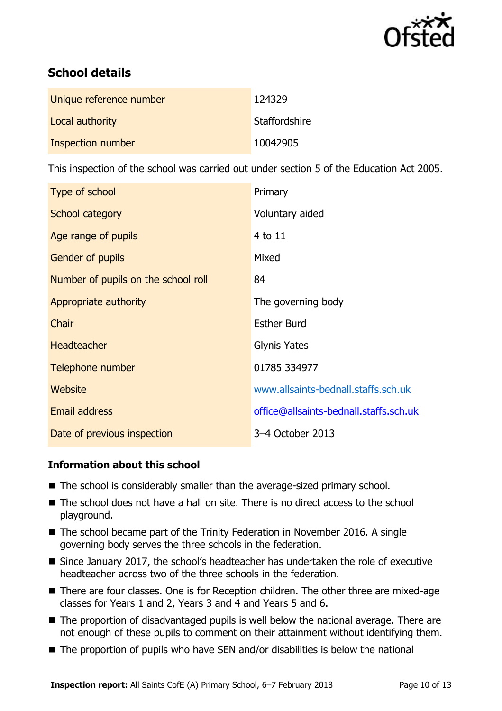

# **School details**

| Unique reference number | 124329        |
|-------------------------|---------------|
| Local authority         | Staffordshire |
| Inspection number       | 10042905      |

This inspection of the school was carried out under section 5 of the Education Act 2005.

| Type of school                      | Primary                                |
|-------------------------------------|----------------------------------------|
| School category                     | Voluntary aided                        |
| Age range of pupils                 | 4 to 11                                |
| <b>Gender of pupils</b>             | Mixed                                  |
| Number of pupils on the school roll | 84                                     |
| Appropriate authority               | The governing body                     |
| Chair                               | <b>Esther Burd</b>                     |
| <b>Headteacher</b>                  | <b>Glynis Yates</b>                    |
| Telephone number                    | 01785 334977                           |
| Website                             | www.allsaints-bednall.staffs.sch.uk    |
| Email address                       | office@allsaints-bednall.staffs.sch.uk |
| Date of previous inspection         | 3-4 October 2013                       |

### **Information about this school**

- The school is considerably smaller than the average-sized primary school.
- The school does not have a hall on site. There is no direct access to the school playground.
- The school became part of the Trinity Federation in November 2016. A single governing body serves the three schools in the federation.
- Since January 2017, the school's headteacher has undertaken the role of executive headteacher across two of the three schools in the federation.
- There are four classes. One is for Reception children. The other three are mixed-age classes for Years 1 and 2, Years 3 and 4 and Years 5 and 6.
- The proportion of disadvantaged pupils is well below the national average. There are not enough of these pupils to comment on their attainment without identifying them.
- The proportion of pupils who have SEN and/or disabilities is below the national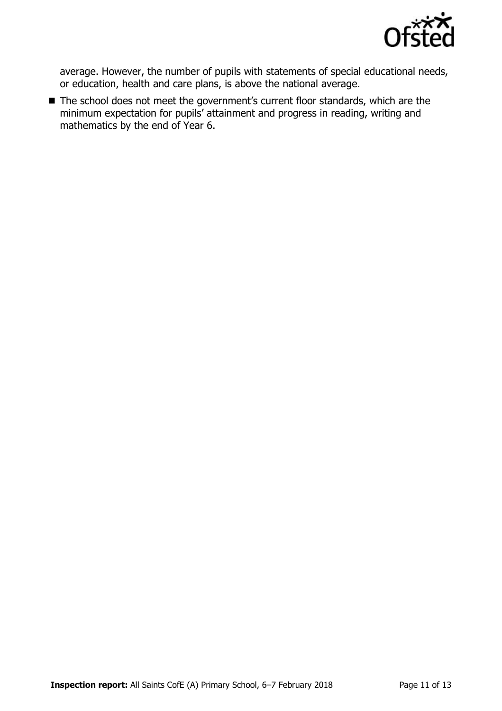

average. However, the number of pupils with statements of special educational needs, or education, health and care plans, is above the national average.

■ The school does not meet the government's current floor standards, which are the minimum expectation for pupils' attainment and progress in reading, writing and mathematics by the end of Year 6.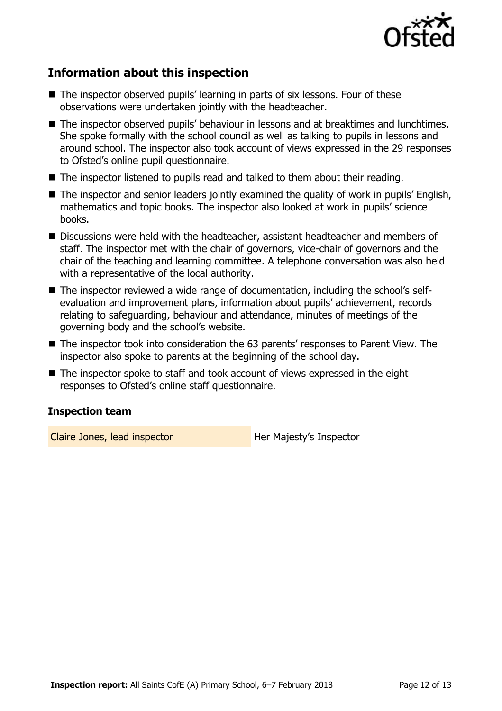

# **Information about this inspection**

- The inspector observed pupils' learning in parts of six lessons. Four of these observations were undertaken jointly with the headteacher.
- The inspector observed pupils' behaviour in lessons and at breaktimes and lunchtimes. She spoke formally with the school council as well as talking to pupils in lessons and around school. The inspector also took account of views expressed in the 29 responses to Ofsted's online pupil questionnaire.
- The inspector listened to pupils read and talked to them about their reading.
- The inspector and senior leaders jointly examined the quality of work in pupils' English, mathematics and topic books. The inspector also looked at work in pupils' science books.
- Discussions were held with the headteacher, assistant headteacher and members of staff. The inspector met with the chair of governors, vice-chair of governors and the chair of the teaching and learning committee. A telephone conversation was also held with a representative of the local authority.
- The inspector reviewed a wide range of documentation, including the school's selfevaluation and improvement plans, information about pupils' achievement, records relating to safeguarding, behaviour and attendance, minutes of meetings of the governing body and the school's website.
- The inspector took into consideration the 63 parents' responses to Parent View. The inspector also spoke to parents at the beginning of the school day.
- The inspector spoke to staff and took account of views expressed in the eight responses to Ofsted's online staff questionnaire.

### **Inspection team**

Claire Jones, lead inspector **Her Majesty's Inspector**